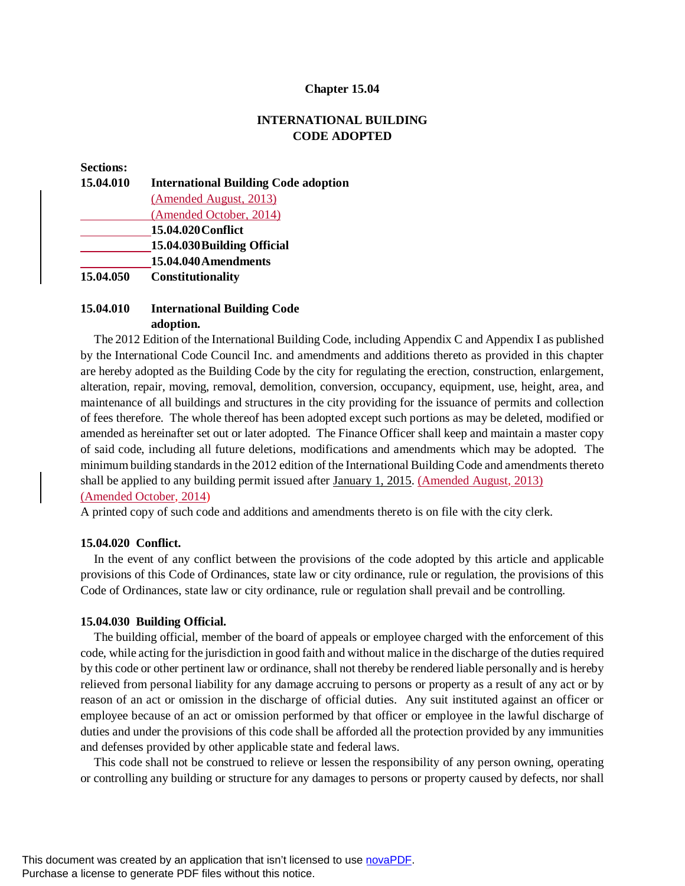#### **Chapter 15.04**

## **INTERNATIONAL BUILDING CODE ADOPTED**

#### **Sections:**

| 15.04.010 | <b>International Building Code adoption</b> |
|-----------|---------------------------------------------|
|           | (Amended August, 2013)                      |
|           | (Amended October, 2014)                     |
|           | 15.04.020 Conflict                          |
|           | 15.04.030 Building Official                 |
|           | 15.04.040 Amendments                        |
| 15.04.050 | Constitutionality                           |

## **15.04.010 International Building Code adoption.**

The 2012 Edition of the International Building Code, including Appendix C and Appendix I as published by the International Code Council Inc. and amendments and additions thereto as provided in this chapter are hereby adopted as the Building Code by the city for regulating the erection, construction, enlargement, alteration, repair, moving, removal, demolition, conversion, occupancy, equipment, use, height, area, and maintenance of all buildings and structures in the city providing for the issuance of permits and collection of fees therefore. The whole thereof has been adopted except such portions as may be deleted, modified or amended as hereinafter set out or later adopted. The Finance Officer shall keep and maintain a master copy of said code, including all future deletions, modifications and amendments which may be adopted. The minimum building standards in the 2012 edition of the International Building Code and amendments thereto shall be applied to any building permit issued after January 1, 2015. (Amended August, 2013) (Amended October, 2014)

A printed copy of such code and additions and amendments thereto is on file with the city clerk.

#### **15.04.020 Conflict.**

In the event of any conflict between the provisions of the code adopted by this article and applicable provisions of this Code of Ordinances, state law or city ordinance, rule or regulation, the provisions of this Code of Ordinances, state law or city ordinance, rule or regulation shall prevail and be controlling.

#### **15.04.030 Building Official.**

The building official, member of the board of appeals or employee charged with the enforcement of this code, while acting for the jurisdiction in good faith and without malice in the discharge of the duties required by this code or other pertinent law or ordinance, shall not thereby be rendered liable personally and is hereby relieved from personal liability for any damage accruing to persons or property as a result of any act or by reason of an act or omission in the discharge of official duties. Any suit instituted against an officer or employee because of an act or omission performed by that officer or employee in the lawful discharge of duties and under the provisions of this code shall be afforded all the protection provided by any immunities and defenses provided by other applicable state and federal laws.

This code shall not be construed to relieve or lessen the responsibility of any person owning, operating or controlling any building or structure for any damages to persons or property caused by defects, nor shall